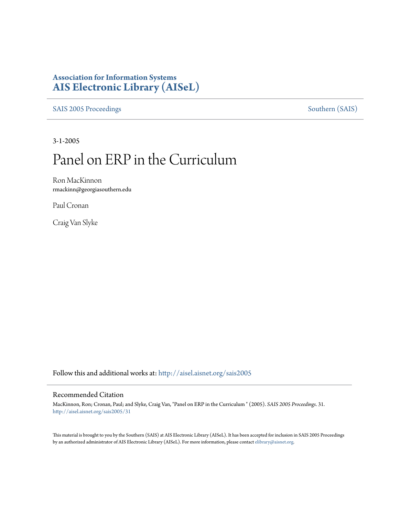## **Association for Information Systems [AIS Electronic Library \(AISeL\)](http://aisel.aisnet.org?utm_source=aisel.aisnet.org%2Fsais2005%2F31&utm_medium=PDF&utm_campaign=PDFCoverPages)**

[SAIS 2005 Proceedings](http://aisel.aisnet.org/sais2005?utm_source=aisel.aisnet.org%2Fsais2005%2F31&utm_medium=PDF&utm_campaign=PDFCoverPages) [Southern \(SAIS\)](http://aisel.aisnet.org/sais?utm_source=aisel.aisnet.org%2Fsais2005%2F31&utm_medium=PDF&utm_campaign=PDFCoverPages)

3-1-2005

# Panel on ERP in the Curriculum

Ron MacKinnon rmackinn@georgiasouthern.edu

Paul Cronan

Craig Van Slyke

Follow this and additional works at: [http://aisel.aisnet.org/sais2005](http://aisel.aisnet.org/sais2005?utm_source=aisel.aisnet.org%2Fsais2005%2F31&utm_medium=PDF&utm_campaign=PDFCoverPages)

#### Recommended Citation

MacKinnon, Ron; Cronan, Paul; and Slyke, Craig Van, "Panel on ERP in the Curriculum " (2005). *SAIS 2005 Proceedings*. 31. [http://aisel.aisnet.org/sais2005/31](http://aisel.aisnet.org/sais2005/31?utm_source=aisel.aisnet.org%2Fsais2005%2F31&utm_medium=PDF&utm_campaign=PDFCoverPages)

This material is brought to you by the Southern (SAIS) at AIS Electronic Library (AISeL). It has been accepted for inclusion in SAIS 2005 Proceedings by an authorized administrator of AIS Electronic Library (AISeL). For more information, please contact [elibrary@aisnet.org](mailto:elibrary@aisnet.org%3E).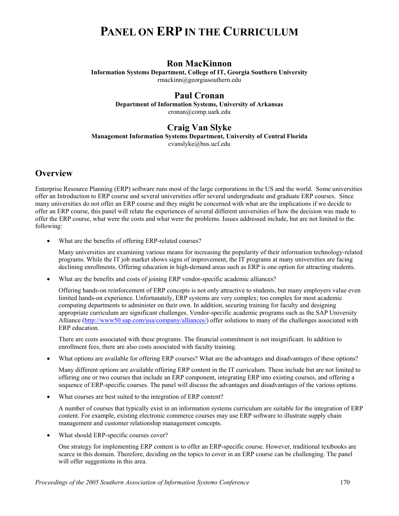## **PANEL ON ERP IN THE CURRICULUM**

#### **Ron MacKinnon**

**Information Systems Department, College of IT, Georgia Southern University**  rmackinn@georgiasouthern.edu

#### **Paul Cronan**

**Department of Information Systems, University of Arkansas**  cronan@comp.uark.edu

#### **Craig Van Slyke**

**Management Information Systems Department, University of Central Florida** 

cvanslyke@bus.ucf.edu

#### **Overview**

Enterprise Resource Planning (ERP) software runs most of the large corporations in the US and the world. Some universities offer an Introduction to ERP course and several universities offer several undergraduate and graduate ERP courses. Since many universities do not offer an ERP course and they might be concerned with what are the implications if we decide to offer an ERP course, this panel will relate the experiences of several different universities of how the decision was made to offer the ERP course, what were the costs and what were the problems. Issues addressed include, but are not limited to the following:

What are the benefits of offering ERP-related courses?

Many universities are examining various means for increasing the popularity of their information technology-related programs. While the IT job market shows signs of improvement, the IT programs at many universities are facing declining enrollments. Offering education in high-demand areas such as ERP is one option for attracting students.

• What are the benefits and costs of joining ERP vendor-specific academic alliances?

Offering hands-on reinforcement of ERP concepts is not only attractive to students, but many employers value even limited hands-on experience. Unfortunately, ERP systems are very complex; too complex for most academic computing departments to administer on their own. In addition, securing training for faculty and designing appropriate curriculum are significant challenges. Vendor-specific academic programs such as the SAP University Alliance ([http://www50.sap.com/usa/company/alliances/\)](http://www50.sap.com/usa/company/alliances/) offer solutions to many of the challenges associated with ERP education.

There are costs associated with these programs. The financial commitment is not insignificant. In addition to enrollment fees, there are also costs associated with faculty training.

• What options are available for offering ERP courses? What are the advantages and disadvantages of these options?

Many different options are available offering ERP content in the IT curriculum. These include but are not limited to offering one or two courses that include an ERP component, integrating ERP into existing courses, and offering a sequence of ERP-specific courses. The panel will discuss the advantages and disadvantages of the various options.

What courses are best suited to the integration of ERP content?

A number of courses that typically exist in an information systems curriculum are suitable for the integration of ERP content. For example, existing electronic commerce courses may use ERP software to illustrate supply chain management and customer relationship management concepts.

What should ERP-specific courses cover?

One strategy for implementing ERP content is to offer an ERP-specific course. However, traditional textbooks are scarce in this domain. Therefore, deciding on the topics to cover in an ERP course can be challenging. The panel will offer suggestions in this area.